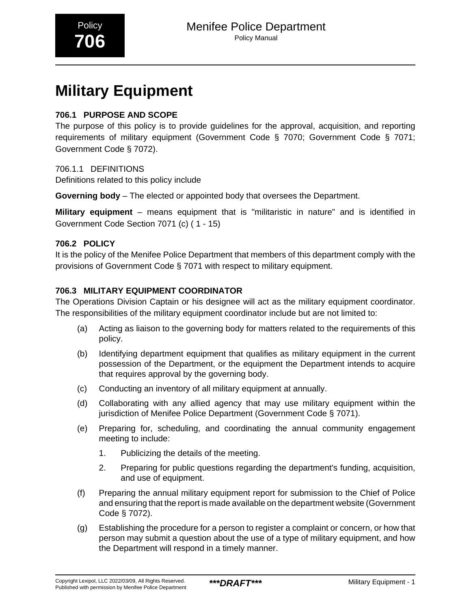# **Military Equipment**

#### **706.1 PURPOSE AND SCOPE**

The purpose of this policy is to provide guidelines for the approval, acquisition, and reporting requirements of military equipment (Government Code § 7070; Government Code § 7071; Government Code § 7072).

706.1.1 DEFINITIONS

Definitions related to this policy include

**Governing body** – The elected or appointed body that oversees the Department.

**Military equipment** – means equipment that is "militaristic in nature" and is identified in Government Code Section 7071 (c) ( 1 - 15)

#### **706.2 POLICY**

It is the policy of the Menifee Police Department that members of this department comply with the provisions of Government Code § 7071 with respect to military equipment.

#### **706.3 MILITARY EQUIPMENT COORDINATOR**

The Operations Division Captain or his designee will act as the military equipment coordinator. The responsibilities of the military equipment coordinator include but are not limited to:

- (a) Acting as liaison to the governing body for matters related to the requirements of this policy.
- (b) Identifying department equipment that qualifies as military equipment in the current possession of the Department, or the equipment the Department intends to acquire that requires approval by the governing body.
- (c) Conducting an inventory of all military equipment at annually.
- (d) Collaborating with any allied agency that may use military equipment within the jurisdiction of Menifee Police Department (Government Code § 7071).
- (e) Preparing for, scheduling, and coordinating the annual community engagement meeting to include:
	- 1. Publicizing the details of the meeting.
	- 2. Preparing for public questions regarding the department's funding, acquisition, and use of equipment.
- (f) Preparing the annual military equipment report for submission to the Chief of Police and ensuring that the report is made available on the department website (Government Code § 7072).
- (g) Establishing the procedure for a person to register a complaint or concern, or how that person may submit a question about the use of a type of military equipment, and how the Department will respond in a timely manner.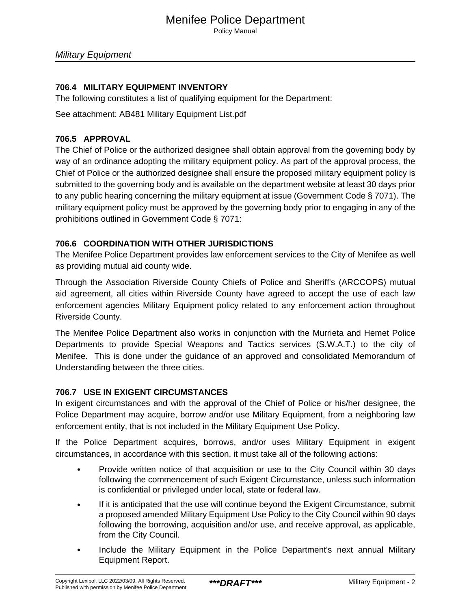Policy Manual

#### **706.4 MILITARY EQUIPMENT INVENTORY**

The following constitutes a list of qualifying equipment for the Department:

See attachment: AB481 Military Equipment List.pdf

#### **706.5 APPROVAL**

The Chief of Police or the authorized designee shall obtain approval from the governing body by way of an ordinance adopting the military equipment policy. As part of the approval process, the Chief of Police or the authorized designee shall ensure the proposed military equipment policy is submitted to the governing body and is available on the department website at least 30 days prior to any public hearing concerning the military equipment at issue (Government Code § 7071). The military equipment policy must be approved by the governing body prior to engaging in any of the prohibitions outlined in Government Code § 7071:

#### **706.6 COORDINATION WITH OTHER JURISDICTIONS**

The Menifee Police Department provides law enforcement services to the City of Menifee as well as providing mutual aid county wide.

Through the Association Riverside County Chiefs of Police and Sheriff's (ARCCOPS) mutual aid agreement, all cities within Riverside County have agreed to accept the use of each law enforcement agencies Military Equipment policy related to any enforcement action throughout Riverside County.

The Menifee Police Department also works in conjunction with the Murrieta and Hemet Police Departments to provide Special Weapons and Tactics services (S.W.A.T.) to the city of Menifee. This is done under the guidance of an approved and consolidated Memorandum of Understanding between the three cities.

#### **706.7 USE IN EXIGENT CIRCUMSTANCES**

In exigent circumstances and with the approval of the Chief of Police or his/her designee, the Police Department may acquire, borrow and/or use Military Equipment, from a neighboring law enforcement entity, that is not included in the Military Equipment Use Policy.

If the Police Department acquires, borrows, and/or uses Military Equipment in exigent circumstances, in accordance with this section, it must take all of the following actions:

- Provide written notice of that acquisition or use to the City Council within 30 days following the commencement of such Exigent Circumstance, unless such information is confidential or privileged under local, state or federal law.
- If it is anticipated that the use will continue beyond the Exigent Circumstance, submit a proposed amended Military Equipment Use Policy to the City Council within 90 days following the borrowing, acquisition and/or use, and receive approval, as applicable, from the City Council.
- Include the Military Equipment in the Police Department's next annual Military Equipment Report.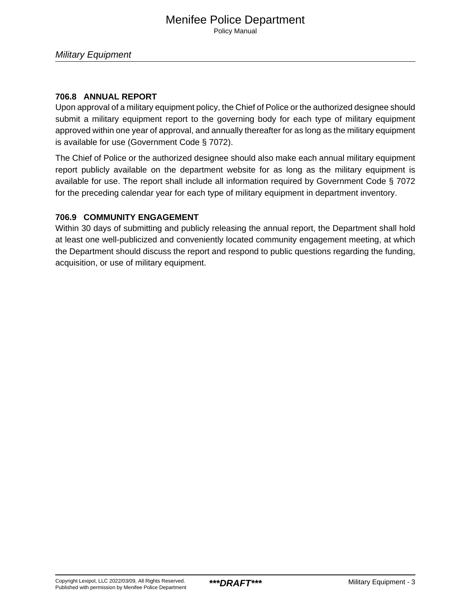#### **706.8 ANNUAL REPORT**

Upon approval of a military equipment policy, the Chief of Police or the authorized designee should submit a military equipment report to the governing body for each type of military equipment approved within one year of approval, and annually thereafter for as long as the military equipment is available for use (Government Code § 7072).

The Chief of Police or the authorized designee should also make each annual military equipment report publicly available on the department website for as long as the military equipment is available for use. The report shall include all information required by Government Code § 7072 for the preceding calendar year for each type of military equipment in department inventory.

#### **706.9 COMMUNITY ENGAGEMENT**

Within 30 days of submitting and publicly releasing the annual report, the Department shall hold at least one well-publicized and conveniently located community engagement meeting, at which the Department should discuss the report and respond to public questions regarding the funding, acquisition, or use of military equipment.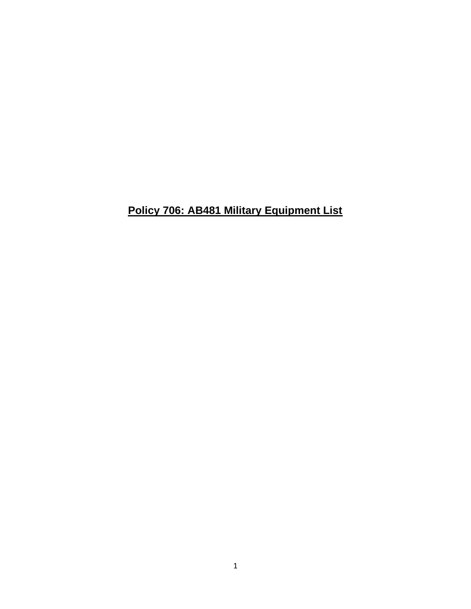# **Policy 706: AB481 Military Equipment List**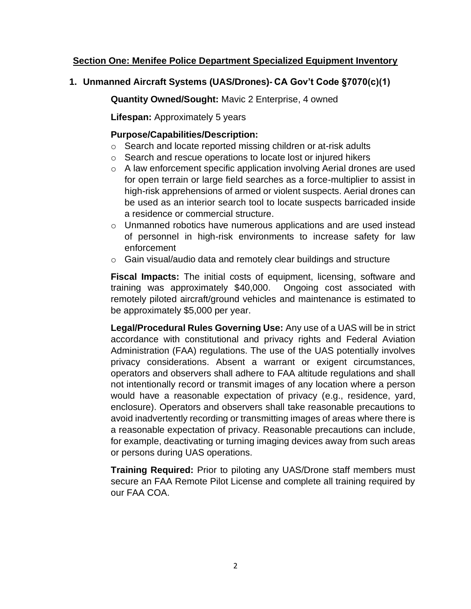# **Section One: Menifee Police Department Specialized Equipment Inventory**

#### **1. Unmanned Aircraft Systems (UAS/Drones)- CA Gov't Code §7070(c)(1)**

**Quantity Owned/Sought:** Mavic 2 Enterprise, 4 owned

**Lifespan:** Approximately 5 years

#### **Purpose/Capabilities/Description:**

- o Search and locate reported missing children or at-risk adults
- o Search and rescue operations to locate lost or injured hikers
- o A law enforcement specific application involving Aerial drones are used for open terrain or large field searches as a force-multiplier to assist in high-risk apprehensions of armed or violent suspects. Aerial drones can be used as an interior search tool to locate suspects barricaded inside a residence or commercial structure.
- o Unmanned robotics have numerous applications and are used instead of personnel in high-risk environments to increase safety for law enforcement
- o Gain visual/audio data and remotely clear buildings and structure

**Fiscal Impacts:** The initial costs of equipment, licensing, software and training was approximately \$40,000. Ongoing cost associated with remotely piloted aircraft/ground vehicles and maintenance is estimated to be approximately \$5,000 per year.

**Legal/Procedural Rules Governing Use:** Any use of a UAS will be in strict accordance with constitutional and privacy rights and Federal Aviation Administration (FAA) regulations. The use of the UAS potentially involves privacy considerations. Absent a warrant or exigent circumstances, operators and observers shall adhere to FAA altitude regulations and shall not intentionally record or transmit images of any location where a person would have a reasonable expectation of privacy (e.g., residence, yard, enclosure). Operators and observers shall take reasonable precautions to avoid inadvertently recording or transmitting images of areas where there is a reasonable expectation of privacy. Reasonable precautions can include, for example, deactivating or turning imaging devices away from such areas or persons during UAS operations.

**Training Required:** Prior to piloting any UAS/Drone staff members must secure an FAA Remote Pilot License and complete all training required by our FAA COA.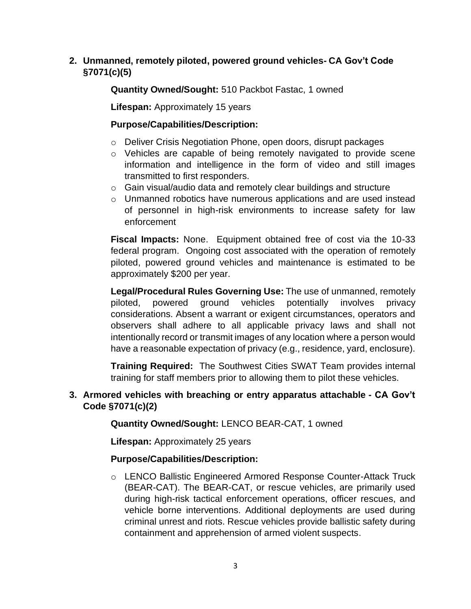# **2. Unmanned, remotely piloted, powered ground vehicles- CA Gov't Code §7071(c)(5)**

**Quantity Owned/Sought:** 510 Packbot Fastac, 1 owned

**Lifespan:** Approximately 15 years

# **Purpose/Capabilities/Description:**

- o Deliver Crisis Negotiation Phone, open doors, disrupt packages
- o Vehicles are capable of being remotely navigated to provide scene information and intelligence in the form of video and still images transmitted to first responders.
- o Gain visual/audio data and remotely clear buildings and structure
- o Unmanned robotics have numerous applications and are used instead of personnel in high-risk environments to increase safety for law enforcement

**Fiscal Impacts:** None. Equipment obtained free of cost via the 10-33 federal program. Ongoing cost associated with the operation of remotely piloted, powered ground vehicles and maintenance is estimated to be approximately \$200 per year.

**Legal/Procedural Rules Governing Use:** The use of unmanned, remotely piloted, powered ground vehicles potentially involves privacy considerations. Absent a warrant or exigent circumstances, operators and observers shall adhere to all applicable privacy laws and shall not intentionally record or transmit images of any location where a person would have a reasonable expectation of privacy (e.g., residence, yard, enclosure).

**Training Required:** The Southwest Cities SWAT Team provides internal training for staff members prior to allowing them to pilot these vehicles.

#### **3. Armored vehicles with breaching or entry apparatus attachable - CA Gov't Code §7071(c)(2)**

# **Quantity Owned/Sought:** LENCO BEAR-CAT, 1 owned

**Lifespan:** Approximately 25 years

# **Purpose/Capabilities/Description:**

o LENCO Ballistic Engineered Armored Response Counter-Attack Truck (BEAR-CAT). The BEAR-CAT, or rescue vehicles, are primarily used during high-risk tactical enforcement operations, officer rescues, and vehicle borne interventions. Additional deployments are used during criminal unrest and riots. Rescue vehicles provide ballistic safety during containment and apprehension of armed violent suspects.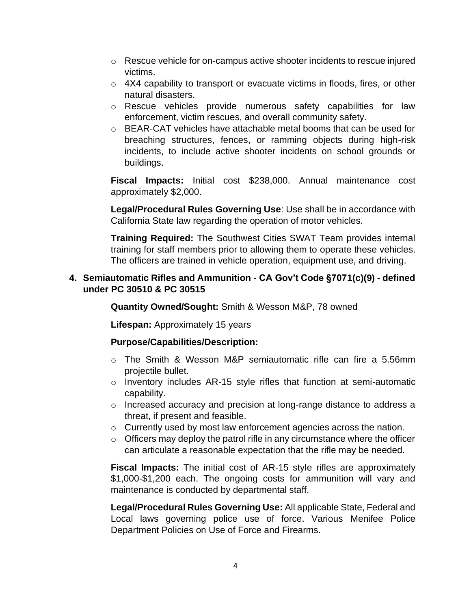- $\circ$  Rescue vehicle for on-campus active shooter incidents to rescue injured victims.
- o 4X4 capability to transport or evacuate victims in floods, fires, or other natural disasters.
- o Rescue vehicles provide numerous safety capabilities for law enforcement, victim rescues, and overall community safety.
- $\circ$  BEAR-CAT vehicles have attachable metal booms that can be used for breaching structures, fences, or ramming objects during high-risk incidents, to include active shooter incidents on school grounds or buildings.

**Fiscal Impacts:** Initial cost \$238,000. Annual maintenance cost approximately \$2,000.

**Legal/Procedural Rules Governing Use**: Use shall be in accordance with California State law regarding the operation of motor vehicles.

**Training Required:** The Southwest Cities SWAT Team provides internal training for staff members prior to allowing them to operate these vehicles. The officers are trained in vehicle operation, equipment use, and driving.

#### **4. Semiautomatic Rifles and Ammunition - CA Gov't Code §7071(c)(9) - defined under PC 30510 & PC 30515**

**Quantity Owned/Sought:** Smith & Wesson M&P, 78 owned

**Lifespan:** Approximately 15 years

# **Purpose/Capabilities/Description:**

- o The Smith & Wesson M&P semiautomatic rifle can fire a 5.56mm projectile bullet.
- o Inventory includes AR-15 style rifles that function at semi-automatic capability.
- o Increased accuracy and precision at long-range distance to address a threat, if present and feasible.
- o Currently used by most law enforcement agencies across the nation.
- $\circ$  Officers may deploy the patrol rifle in any circumstance where the officer can articulate a reasonable expectation that the rifle may be needed.

**Fiscal Impacts:** The initial cost of AR-15 style rifles are approximately \$1,000-\$1,200 each. The ongoing costs for ammunition will vary and maintenance is conducted by departmental staff.

**Legal/Procedural Rules Governing Use:** All applicable State, Federal and Local laws governing police use of force. Various Menifee Police Department Policies on Use of Force and Firearms.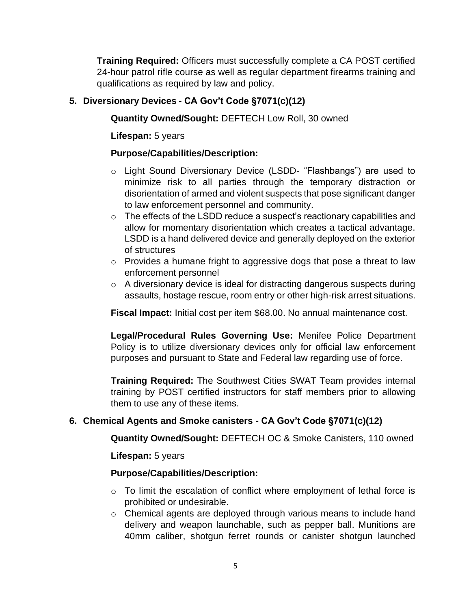**Training Required:** Officers must successfully complete a CA POST certified 24-hour patrol rifle course as well as regular department firearms training and qualifications as required by law and policy.

# **5. Diversionary Devices - CA Gov't Code §7071(c)(12)**

**Quantity Owned/Sought:** DEFTECH Low Roll, 30 owned

**Lifespan:** 5 years

#### **Purpose/Capabilities/Description:**

- o Light Sound Diversionary Device (LSDD- "Flashbangs") are used to minimize risk to all parties through the temporary distraction or disorientation of armed and violent suspects that pose significant danger to law enforcement personnel and community.
- o The effects of the LSDD reduce a suspect's reactionary capabilities and allow for momentary disorientation which creates a tactical advantage. LSDD is a hand delivered device and generally deployed on the exterior of structures
- o Provides a humane fright to aggressive dogs that pose a threat to law enforcement personnel
- o A diversionary device is ideal for distracting dangerous suspects during assaults, hostage rescue, room entry or other high-risk arrest situations.

**Fiscal Impact:** Initial cost per item \$68.00. No annual maintenance cost.

**Legal/Procedural Rules Governing Use:** Menifee Police Department Policy is to utilize diversionary devices only for official law enforcement purposes and pursuant to State and Federal law regarding use of force.

**Training Required:** The Southwest Cities SWAT Team provides internal training by POST certified instructors for staff members prior to allowing them to use any of these items.

# **6. Chemical Agents and Smoke canisters - CA Gov't Code §7071(c)(12)**

**Quantity Owned/Sought:** DEFTECH OC & Smoke Canisters, 110 owned

**Lifespan:** 5 years

#### **Purpose/Capabilities/Description:**

- o To limit the escalation of conflict where employment of lethal force is prohibited or undesirable.
- o Chemical agents are deployed through various means to include hand delivery and weapon launchable, such as pepper ball. Munitions are 40mm caliber, shotgun ferret rounds or canister shotgun launched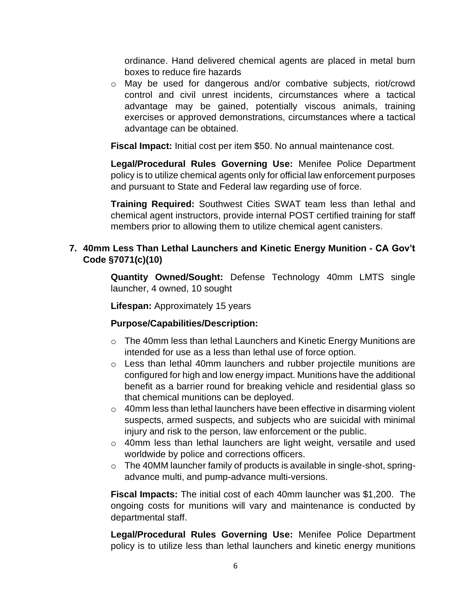ordinance. Hand delivered chemical agents are placed in metal burn boxes to reduce fire hazards

o May be used for dangerous and/or combative subjects, riot/crowd control and civil unrest incidents, circumstances where a tactical advantage may be gained, potentially viscous animals, training exercises or approved demonstrations, circumstances where a tactical advantage can be obtained.

**Fiscal Impact:** Initial cost per item \$50. No annual maintenance cost.

**Legal/Procedural Rules Governing Use:** Menifee Police Department policy is to utilize chemical agents only for official law enforcement purposes and pursuant to State and Federal law regarding use of force.

**Training Required:** Southwest Cities SWAT team less than lethal and chemical agent instructors, provide internal POST certified training for staff members prior to allowing them to utilize chemical agent canisters.

# **7. 40mm Less Than Lethal Launchers and Kinetic Energy Munition - CA Gov't Code §7071(c)(10)**

**Quantity Owned/Sought:** Defense Technology 40mm LMTS single launcher, 4 owned, 10 sought

**Lifespan:** Approximately 15 years

# **Purpose/Capabilities/Description:**

- o The 40mm less than lethal Launchers and Kinetic Energy Munitions are intended for use as a less than lethal use of force option.
- o Less than lethal 40mm launchers and rubber projectile munitions are configured for high and low energy impact. Munitions have the additional benefit as a barrier round for breaking vehicle and residential glass so that chemical munitions can be deployed.
- $\circ$  40mm less than lethal launchers have been effective in disarming violent suspects, armed suspects, and subjects who are suicidal with minimal injury and risk to the person, law enforcement or the public.
- o 40mm less than lethal launchers are light weight, versatile and used worldwide by police and corrections officers.
- o The 40MM launcher family of products is available in single-shot, springadvance multi, and pump-advance multi-versions.

**Fiscal Impacts:** The initial cost of each 40mm launcher was \$1,200. The ongoing costs for munitions will vary and maintenance is conducted by departmental staff.

**Legal/Procedural Rules Governing Use:** Menifee Police Department policy is to utilize less than lethal launchers and kinetic energy munitions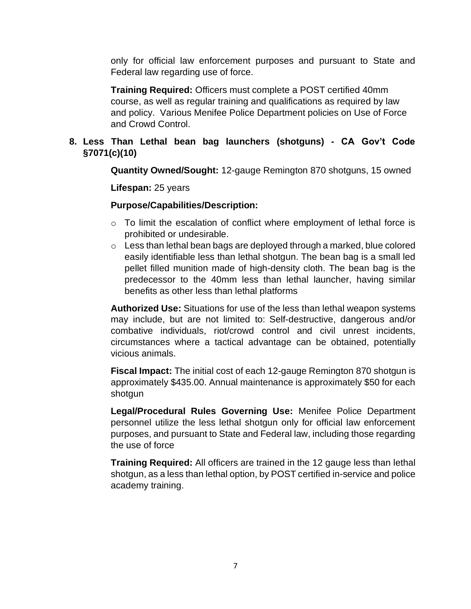only for official law enforcement purposes and pursuant to State and Federal law regarding use of force.

**Training Required:** Officers must complete a POST certified 40mm course, as well as regular training and qualifications as required by law and policy. Various Menifee Police Department policies on Use of Force and Crowd Control.

# **8. Less Than Lethal bean bag launchers (shotguns) - CA Gov't Code §7071(c)(10)**

**Quantity Owned/Sought:** 12-gauge Remington 870 shotguns, 15 owned

**Lifespan:** 25 years

#### **Purpose/Capabilities/Description:**

- o To limit the escalation of conflict where employment of lethal force is prohibited or undesirable.
- $\circ$  Less than lethal bean bags are deployed through a marked, blue colored easily identifiable less than lethal shotgun. The bean bag is a small led pellet filled munition made of high-density cloth. The bean bag is the predecessor to the 40mm less than lethal launcher, having similar benefits as other less than lethal platforms

**Authorized Use:** Situations for use of the less than lethal weapon systems may include, but are not limited to: Self-destructive, dangerous and/or combative individuals, riot/crowd control and civil unrest incidents, circumstances where a tactical advantage can be obtained, potentially vicious animals.

**Fiscal Impact:** The initial cost of each 12-gauge Remington 870 shotgun is approximately \$435.00. Annual maintenance is approximately \$50 for each shotgun

**Legal/Procedural Rules Governing Use:** Menifee Police Department personnel utilize the less lethal shotgun only for official law enforcement purposes, and pursuant to State and Federal law, including those regarding the use of force

**Training Required:** All officers are trained in the 12 gauge less than lethal shotgun, as a less than lethal option, by POST certified in-service and police academy training.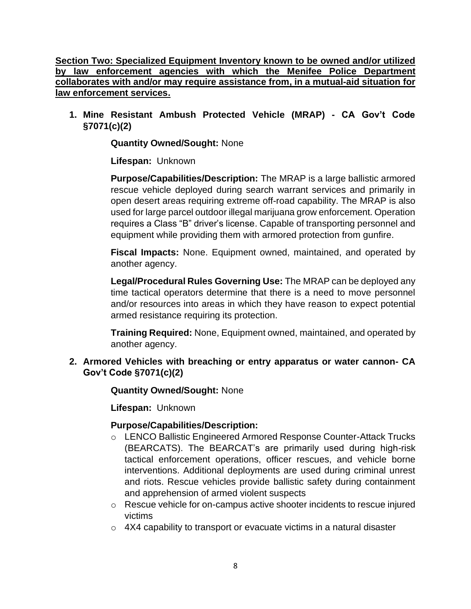**Section Two: Specialized Equipment Inventory known to be owned and/or utilized by law enforcement agencies with which the Menifee Police Department collaborates with and/or may require assistance from, in a mutual-aid situation for law enforcement services.**

**1. Mine Resistant Ambush Protected Vehicle (MRAP) - CA Gov't Code §7071(c)(2)**

**Quantity Owned/Sought:** None

**Lifespan:** Unknown

**Purpose/Capabilities/Description:** The MRAP is a large ballistic armored rescue vehicle deployed during search warrant services and primarily in open desert areas requiring extreme off-road capability. The MRAP is also used for large parcel outdoor illegal marijuana grow enforcement. Operation requires a Class "B" driver's license. Capable of transporting personnel and equipment while providing them with armored protection from gunfire.

**Fiscal Impacts:** None. Equipment owned, maintained, and operated by another agency.

**Legal/Procedural Rules Governing Use:** The MRAP can be deployed any time tactical operators determine that there is a need to move personnel and/or resources into areas in which they have reason to expect potential armed resistance requiring its protection.

**Training Required:** None, Equipment owned, maintained, and operated by another agency.

# **2. Armored Vehicles with breaching or entry apparatus or water cannon- CA Gov't Code §7071(c)(2)**

**Quantity Owned/Sought:** None

**Lifespan:** Unknown

# **Purpose/Capabilities/Description:**

- o LENCO Ballistic Engineered Armored Response Counter-Attack Trucks (BEARCATS). The BEARCAT's are primarily used during high-risk tactical enforcement operations, officer rescues, and vehicle borne interventions. Additional deployments are used during criminal unrest and riots. Rescue vehicles provide ballistic safety during containment and apprehension of armed violent suspects
- o Rescue vehicle for on-campus active shooter incidents to rescue injured victims
- $\circ$  4X4 capability to transport or evacuate victims in a natural disaster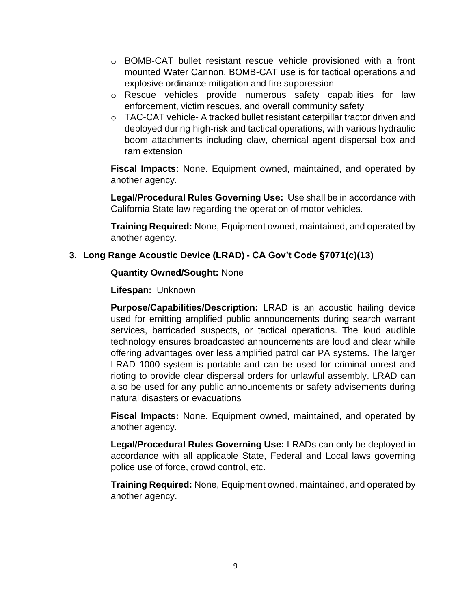- o BOMB-CAT bullet resistant rescue vehicle provisioned with a front mounted Water Cannon. BOMB-CAT use is for tactical operations and explosive ordinance mitigation and fire suppression
- o Rescue vehicles provide numerous safety capabilities for law enforcement, victim rescues, and overall community safety
- $\circ$  TAC-CAT vehicle- A tracked bullet resistant caterpillar tractor driven and deployed during high-risk and tactical operations, with various hydraulic boom attachments including claw, chemical agent dispersal box and ram extension

**Fiscal Impacts:** None. Equipment owned, maintained, and operated by another agency.

**Legal/Procedural Rules Governing Use:** Use shall be in accordance with California State law regarding the operation of motor vehicles.

**Training Required:** None, Equipment owned, maintained, and operated by another agency.

# **3. Long Range Acoustic Device (LRAD) - CA Gov't Code §7071(c)(13)**

#### **Quantity Owned/Sought:** None

**Lifespan:** Unknown

**Purpose/Capabilities/Description:** LRAD is an acoustic hailing device used for emitting amplified public announcements during search warrant services, barricaded suspects, or tactical operations. The loud audible technology ensures broadcasted announcements are loud and clear while offering advantages over less amplified patrol car PA systems. The larger LRAD 1000 system is portable and can be used for criminal unrest and rioting to provide clear dispersal orders for unlawful assembly. LRAD can also be used for any public announcements or safety advisements during natural disasters or evacuations

**Fiscal Impacts:** None. Equipment owned, maintained, and operated by another agency.

**Legal/Procedural Rules Governing Use:** LRADs can only be deployed in accordance with all applicable State, Federal and Local laws governing police use of force, crowd control, etc.

**Training Required:** None, Equipment owned, maintained, and operated by another agency.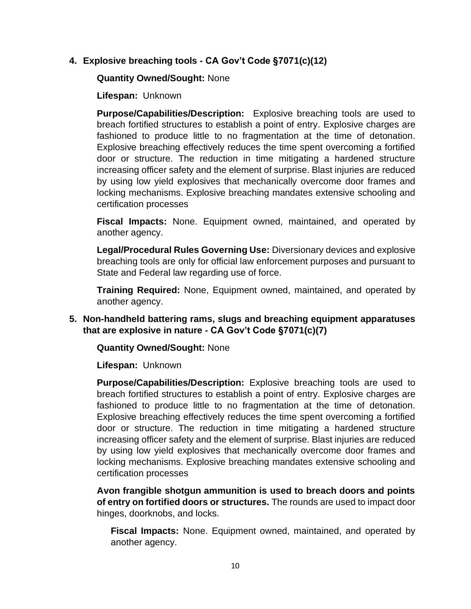#### **4. Explosive breaching tools - CA Gov't Code §7071(c)(12)**

#### **Quantity Owned/Sought:** None

**Lifespan:** Unknown

**Purpose/Capabilities/Description:** Explosive breaching tools are used to breach fortified structures to establish a point of entry. Explosive charges are fashioned to produce little to no fragmentation at the time of detonation. Explosive breaching effectively reduces the time spent overcoming a fortified door or structure. The reduction in time mitigating a hardened structure increasing officer safety and the element of surprise. Blast injuries are reduced by using low yield explosives that mechanically overcome door frames and locking mechanisms. Explosive breaching mandates extensive schooling and certification processes

**Fiscal Impacts:** None. Equipment owned, maintained, and operated by another agency.

**Legal/Procedural Rules Governing Use:** Diversionary devices and explosive breaching tools are only for official law enforcement purposes and pursuant to State and Federal law regarding use of force.

**Training Required:** None, Equipment owned, maintained, and operated by another agency.

**5. Non-handheld battering rams, slugs and breaching equipment apparatuses that are explosive in nature - CA Gov't Code §7071(c)(7)**

**Quantity Owned/Sought:** None

**Lifespan:** Unknown

**Purpose/Capabilities/Description:** Explosive breaching tools are used to breach fortified structures to establish a point of entry. Explosive charges are fashioned to produce little to no fragmentation at the time of detonation. Explosive breaching effectively reduces the time spent overcoming a fortified door or structure. The reduction in time mitigating a hardened structure increasing officer safety and the element of surprise. Blast injuries are reduced by using low yield explosives that mechanically overcome door frames and locking mechanisms. Explosive breaching mandates extensive schooling and certification processes

**Avon frangible shotgun ammunition is used to breach doors and points of entry on fortified doors or structures.** The rounds are used to impact door hinges, doorknobs, and locks.

**Fiscal Impacts:** None. Equipment owned, maintained, and operated by another agency.